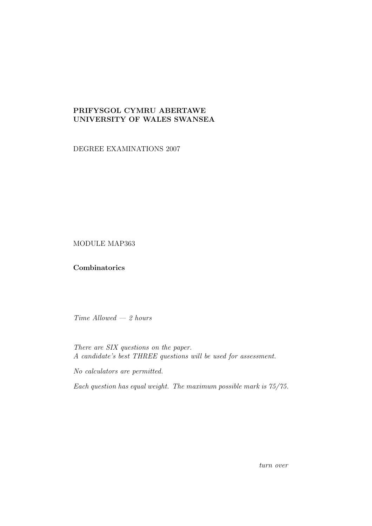## PRIFYSGOL CYMRU ABERTAWE UNIVERSITY OF WALES SWANSEA

DEGREE EXAMINATIONS 2007

MODULE MAP363

## **Combinatorics**

 $Time$  Allowed  $-2$  hours

There are SIX questions on the paper. A candidate's best THREE questions will be used for assessment.

No calculators are permitted.

Each question has equal weight. The maximum possible mark is 75/75.

turn over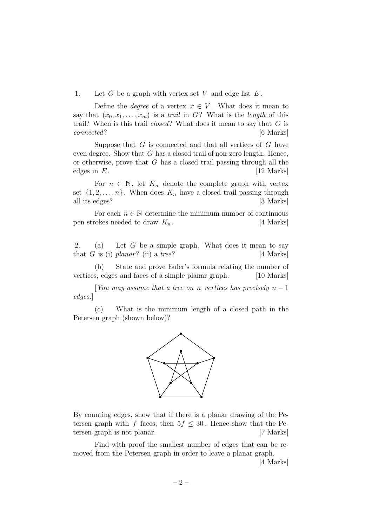1. Let  $G$  be a graph with vertex set  $V$  and edge list  $E$ .

Define the *degree* of a vertex  $x \in V$ . What does it mean to say that  $(x_0, x_1, \ldots, x_m)$  is a *trail* in G? What is the *length* of this trail? When is this trail  $closed$ ? What does it mean to say that  $G$  is connected? [6 Marks]

Suppose that  $G$  is connected and that all vertices of  $G$  have even degree. Show that  $G$  has a closed trail of non-zero length. Hence, or otherwise, prove that  $G$  has a closed trail passing through all the edges in  $E$ . [12 Marks]

For  $n \in \mathbb{N}$ , let  $K_n$  denote the complete graph with vertex set  $\{1, 2, \ldots, n\}$ . When does  $K_n$  have a closed trail passing through all its edges? [3 Marks]

For each  $n \in \mathbb{N}$  determine the minimum number of continuous pen-strokes needed to draw  $K_n$ . [4 Marks]

2. (a) Let  $G$  be a simple graph. What does it mean to say that  $G$  is (i) planar? (ii) a tree? [4 Marks]

(b) State and prove Euler's formula relating the number of vertices, edges and faces of a simple planar graph. [10 Marks]

[You may assume that a tree on n vertices has precisely  $n-1$ edges.]

(c) What is the minimum length of a closed path in the Petersen graph (shown below)?



By counting edges, show that if there is a planar drawing of the Petersen graph with f faces, then  $5f \leq 30$ . Hence show that the Petersen graph is not planar. [7 Marks]

Find with proof the smallest number of edges that can be removed from the Petersen graph in order to leave a planar graph.

[4 Marks]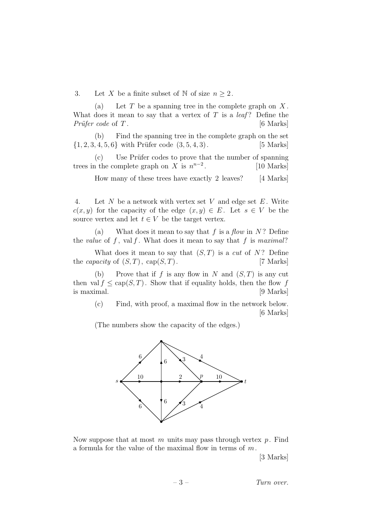3. Let X be a finite subset of N of size  $n \geq 2$ .

(a) Let  $T$  be a spanning tree in the complete graph on  $X$ . What does it mean to say that a vertex of  $T$  is a *leaf*? Define the  $Priifer code of T.$  [6 Marks]

(b) Find the spanning tree in the complete graph on the set  $\{1, 2, 3, 4, 5, 6\}$  with Prüfer code  $(3, 5, 4, 3)$ . [5 Marks]

(c) Use Prüfer codes to prove that the number of spanning trees in the complete graph on X is  $n^{n-2}$ . [10 Marks]

How many of these trees have exactly 2 leaves? [4 Marks]

4. Let  $N$  be a network with vertex set  $V$  and edge set  $E$ . Write  $c(x, y)$  for the capacity of the edge  $(x, y) \in E$ . Let  $s \in V$  be the source vertex and let  $t \in V$  be the target vertex.

(a) What does it mean to say that f is a flow in  $N$ ? Define the value of f, val f. What does it mean to say that f is maximal?

What does it mean to say that  $(S, T)$  is a cut of N? Define the *capacity* of  $(S, T)$ ,  $cap(S, T)$ . [7 Marks]

(b) Prove that if f is any flow in N and  $(S, T)$  is any cut then val  $f \leq cap(S,T)$ . Show that if equality holds, then the flow f is maximal. [9 Marks]

(c) Find, with proof, a maximal flow in the network below. [6 Marks]

(The numbers show the capacity of the edges.)



Now suppose that at most m units may pass through vertex  $p$ . Find a formula for the value of the maximal flow in terms of  $m$ .

[3 Marks]

 $-3$  – Turn over.